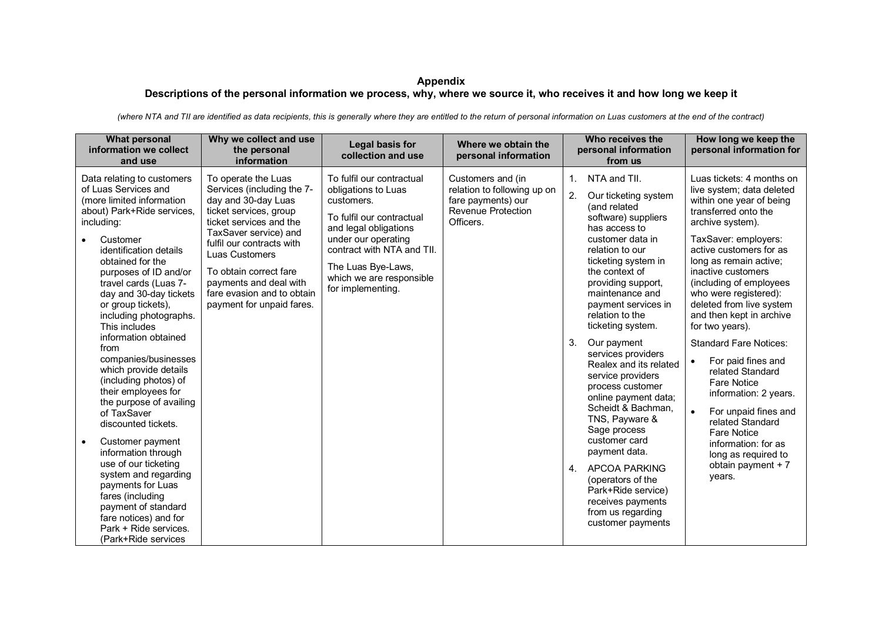## **Appendix Descriptions of the personal information we process, why, where we source it, who receives it and how long we keep it**

*(where NTA and TII are identified as data recipients, this is generally where they are entitled to the return of personal information on Luas customers at the end of the contract)*

| <b>What personal</b><br>information we collect<br>and use                                                                                                                                                                                                                                                                                                                                                                                                                                                                                                                                                                                                                                                                                                                             | Why we collect and use<br>the personal<br>information                                                                                                                                                                                                                                                                | Legal basis for<br>collection and use                                                                                                                                                                                                            | Where we obtain the<br>personal information                                                               | Who receives the<br>personal information<br>from us                                                                                                                                                                                                                                                                                                                                                                                                                                                                                                                                                                                                                                  | How long we keep the<br>personal information for                                                                                                                                                                                                                                                                                                                                                                                                                                                                                                                                                                                                                      |
|---------------------------------------------------------------------------------------------------------------------------------------------------------------------------------------------------------------------------------------------------------------------------------------------------------------------------------------------------------------------------------------------------------------------------------------------------------------------------------------------------------------------------------------------------------------------------------------------------------------------------------------------------------------------------------------------------------------------------------------------------------------------------------------|----------------------------------------------------------------------------------------------------------------------------------------------------------------------------------------------------------------------------------------------------------------------------------------------------------------------|--------------------------------------------------------------------------------------------------------------------------------------------------------------------------------------------------------------------------------------------------|-----------------------------------------------------------------------------------------------------------|--------------------------------------------------------------------------------------------------------------------------------------------------------------------------------------------------------------------------------------------------------------------------------------------------------------------------------------------------------------------------------------------------------------------------------------------------------------------------------------------------------------------------------------------------------------------------------------------------------------------------------------------------------------------------------------|-----------------------------------------------------------------------------------------------------------------------------------------------------------------------------------------------------------------------------------------------------------------------------------------------------------------------------------------------------------------------------------------------------------------------------------------------------------------------------------------------------------------------------------------------------------------------------------------------------------------------------------------------------------------------|
| Data relating to customers<br>of Luas Services and<br>(more limited information<br>about) Park+Ride services,<br>including:<br>Customer<br>identification details<br>obtained for the<br>purposes of ID and/or<br>travel cards (Luas 7-<br>day and 30-day tickets<br>or group tickets),<br>including photographs.<br>This includes<br>information obtained<br>from<br>companies/businesses<br>which provide details<br>(including photos) of<br>their employees for<br>the purpose of availing<br>of TaxSaver<br>discounted tickets.<br>Customer payment<br>$\bullet$<br>information through<br>use of our ticketing<br>system and regarding<br>payments for Luas<br>fares (including<br>payment of standard<br>fare notices) and for<br>Park + Ride services.<br>(Park+Ride services | To operate the Luas<br>Services (including the 7-<br>day and 30-day Luas<br>ticket services, group<br>ticket services and the<br>TaxSaver service) and<br>fulfil our contracts with<br>Luas Customers<br>To obtain correct fare<br>payments and deal with<br>fare evasion and to obtain<br>payment for unpaid fares. | To fulfil our contractual<br>obligations to Luas<br>customers.<br>To fulfil our contractual<br>and legal obligations<br>under our operating<br>contract with NTA and TII.<br>The Luas Bye-Laws,<br>which we are responsible<br>for implementing. | Customers and (in<br>relation to following up on<br>fare payments) our<br>Revenue Protection<br>Officers. | NTA and TII.<br>1 <sup>1</sup><br>2.<br>Our ticketing system<br>(and related<br>software) suppliers<br>has access to<br>customer data in<br>relation to our<br>ticketing system in<br>the context of<br>providing support,<br>maintenance and<br>payment services in<br>relation to the<br>ticketing system.<br>3.<br>Our payment<br>services providers<br>Realex and its related<br>service providers<br>process customer<br>online payment data;<br>Scheidt & Bachman,<br>TNS, Payware &<br>Sage process<br>customer card<br>payment data.<br><b>APCOA PARKING</b><br>4.<br>(operators of the<br>Park+Ride service)<br>receives payments<br>from us regarding<br>customer payments | Luas tickets: 4 months on<br>live system; data deleted<br>within one year of being<br>transferred onto the<br>archive system).<br>TaxSaver: employers:<br>active customers for as<br>long as remain active;<br>inactive customers<br>(including of employees<br>who were registered):<br>deleted from live system<br>and then kept in archive<br>for two years).<br><b>Standard Fare Notices:</b><br>For paid fines and<br>$\bullet$<br>related Standard<br><b>Fare Notice</b><br>information: 2 years.<br>For unpaid fines and<br>$\bullet$<br>related Standard<br><b>Fare Notice</b><br>information: for as<br>long as required to<br>obtain payment $+7$<br>years. |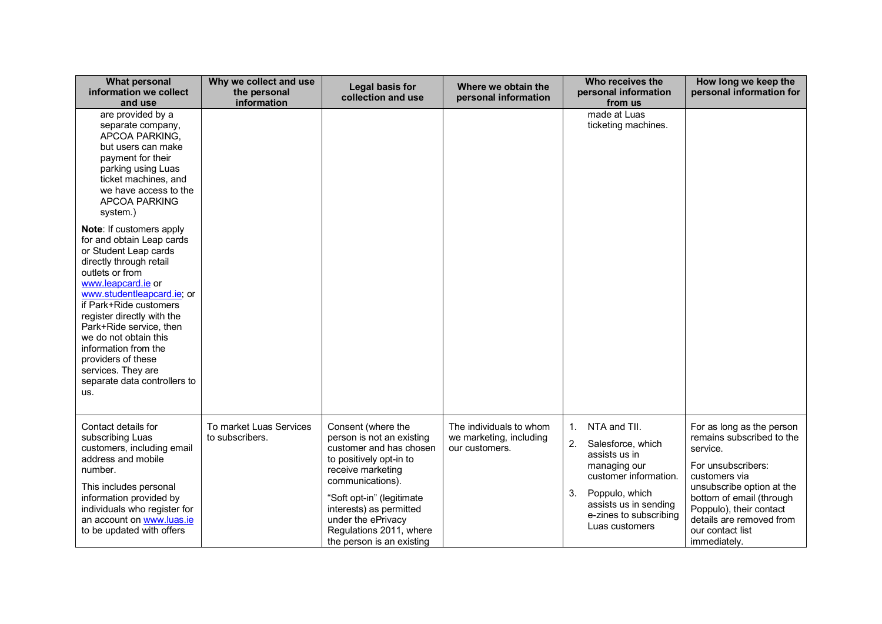| <b>What personal</b><br>information we collect<br>and use                                                                                                                                                                                                                                                                                                                                               | Why we collect and use<br>the personal<br>information | Legal basis for<br>collection and use                                                                                                                                                                                                                                                | Where we obtain the<br>personal information                          | Who receives the<br>personal information<br>from us                                                                                                                                                  | How long we keep the<br>personal information for                                                                                                                                                                                                              |
|---------------------------------------------------------------------------------------------------------------------------------------------------------------------------------------------------------------------------------------------------------------------------------------------------------------------------------------------------------------------------------------------------------|-------------------------------------------------------|--------------------------------------------------------------------------------------------------------------------------------------------------------------------------------------------------------------------------------------------------------------------------------------|----------------------------------------------------------------------|------------------------------------------------------------------------------------------------------------------------------------------------------------------------------------------------------|---------------------------------------------------------------------------------------------------------------------------------------------------------------------------------------------------------------------------------------------------------------|
| are provided by a<br>separate company,<br>APCOA PARKING,<br>but users can make<br>payment for their<br>parking using Luas<br>ticket machines, and<br>we have access to the<br><b>APCOA PARKING</b><br>system.)                                                                                                                                                                                          |                                                       |                                                                                                                                                                                                                                                                                      |                                                                      | made at Luas<br>ticketing machines.                                                                                                                                                                  |                                                                                                                                                                                                                                                               |
| Note: If customers apply<br>for and obtain Leap cards<br>or Student Leap cards<br>directly through retail<br>outlets or from<br>www.leapcard.ie or<br>www.studentleapcard.ie; or<br>if Park+Ride customers<br>register directly with the<br>Park+Ride service, then<br>we do not obtain this<br>information from the<br>providers of these<br>services. They are<br>separate data controllers to<br>us. |                                                       |                                                                                                                                                                                                                                                                                      |                                                                      |                                                                                                                                                                                                      |                                                                                                                                                                                                                                                               |
| Contact details for<br>subscribing Luas<br>customers, including email<br>address and mobile<br>number.<br>This includes personal<br>information provided by<br>individuals who register for<br>an account on www.luas.ie<br>to be updated with offers                                                                                                                                                   | To market Luas Services<br>to subscribers.            | Consent (where the<br>person is not an existing<br>customer and has chosen<br>to positively opt-in to<br>receive marketing<br>communications).<br>"Soft opt-in" (legitimate<br>interests) as permitted<br>under the ePrivacy<br>Regulations 2011, where<br>the person is an existing | The individuals to whom<br>we marketing, including<br>our customers. | NTA and TII.<br>1.<br>2.<br>Salesforce, which<br>assists us in<br>managing our<br>customer information.<br>Poppulo, which<br>3.<br>assists us in sending<br>e-zines to subscribing<br>Luas customers | For as long as the person<br>remains subscribed to the<br>service.<br>For unsubscribers:<br>customers via<br>unsubscribe option at the<br>bottom of email (through<br>Poppulo), their contact<br>details are removed from<br>our contact list<br>immediately. |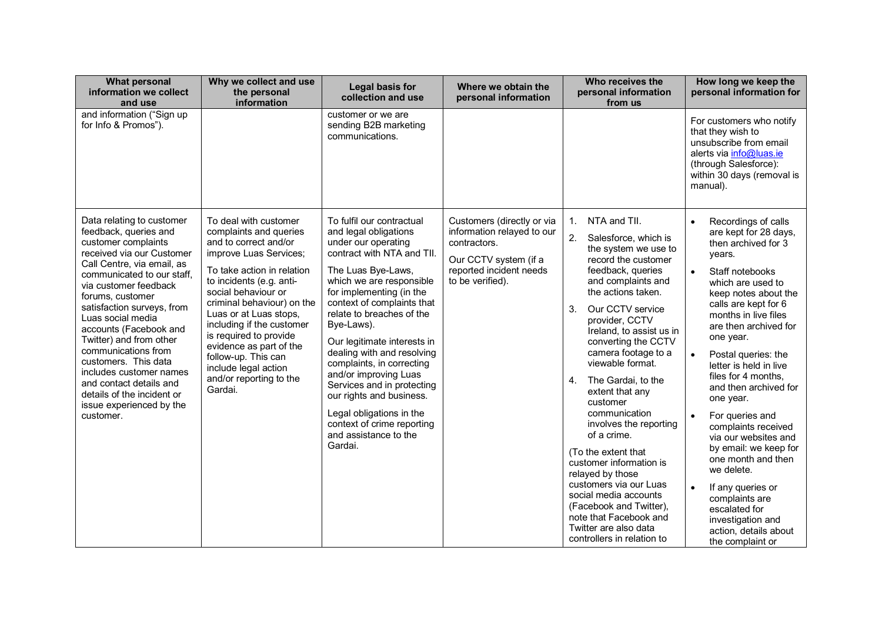| <b>What personal</b><br>information we collect<br>and use                                                                                                                                                                                                                                                                                                                                                                                                                                           | Why we collect and use<br>the personal<br>information                                                                                                                                                                                                                                                                                                                                                              | Legal basis for<br>collection and use                                                                                                                                                                                                                                                                                                                                                                                                                                                                                                     | Where we obtain the<br>personal information                                                                                                      | Who receives the<br>personal information<br>from us                                                                                                                                                                                                                                                                                                                                                                                                                                                                                                                                                                                                                           | How long we keep the<br>personal information for                                                                                                                                                                                                                                                                                                                                                                                                                                                                                                                                                                                                  |
|-----------------------------------------------------------------------------------------------------------------------------------------------------------------------------------------------------------------------------------------------------------------------------------------------------------------------------------------------------------------------------------------------------------------------------------------------------------------------------------------------------|--------------------------------------------------------------------------------------------------------------------------------------------------------------------------------------------------------------------------------------------------------------------------------------------------------------------------------------------------------------------------------------------------------------------|-------------------------------------------------------------------------------------------------------------------------------------------------------------------------------------------------------------------------------------------------------------------------------------------------------------------------------------------------------------------------------------------------------------------------------------------------------------------------------------------------------------------------------------------|--------------------------------------------------------------------------------------------------------------------------------------------------|-------------------------------------------------------------------------------------------------------------------------------------------------------------------------------------------------------------------------------------------------------------------------------------------------------------------------------------------------------------------------------------------------------------------------------------------------------------------------------------------------------------------------------------------------------------------------------------------------------------------------------------------------------------------------------|---------------------------------------------------------------------------------------------------------------------------------------------------------------------------------------------------------------------------------------------------------------------------------------------------------------------------------------------------------------------------------------------------------------------------------------------------------------------------------------------------------------------------------------------------------------------------------------------------------------------------------------------------|
| and information ("Sign up<br>for Info & Promos").                                                                                                                                                                                                                                                                                                                                                                                                                                                   |                                                                                                                                                                                                                                                                                                                                                                                                                    | customer or we are<br>sending B2B marketing<br>communications.                                                                                                                                                                                                                                                                                                                                                                                                                                                                            |                                                                                                                                                  |                                                                                                                                                                                                                                                                                                                                                                                                                                                                                                                                                                                                                                                                               | For customers who notify<br>that they wish to<br>unsubscribe from email<br>alerts via info@luas.ie<br>(through Salesforce):<br>within 30 days (removal is<br>manual).                                                                                                                                                                                                                                                                                                                                                                                                                                                                             |
| Data relating to customer<br>feedback, queries and<br>customer complaints<br>received via our Customer<br>Call Centre, via email, as<br>communicated to our staff.<br>via customer feedback<br>forums, customer<br>satisfaction surveys, from<br>Luas social media<br>accounts (Facebook and<br>Twitter) and from other<br>communications from<br>customers. This data<br>includes customer names<br>and contact details and<br>details of the incident or<br>issue experienced by the<br>customer. | To deal with customer<br>complaints and queries<br>and to correct and/or<br>improve Luas Services;<br>To take action in relation<br>to incidents (e.g. anti-<br>social behaviour or<br>criminal behaviour) on the<br>Luas or at Luas stops,<br>including if the customer<br>is required to provide<br>evidence as part of the<br>follow-up. This can<br>include legal action<br>and/or reporting to the<br>Gardai. | To fulfil our contractual<br>and legal obligations<br>under our operating<br>contract with NTA and TII.<br>The Luas Bye-Laws,<br>which we are responsible<br>for implementing (in the<br>context of complaints that<br>relate to breaches of the<br>Bye-Laws).<br>Our legitimate interests in<br>dealing with and resolving<br>complaints, in correcting<br>and/or improving Luas<br>Services and in protecting<br>our rights and business.<br>Legal obligations in the<br>context of crime reporting<br>and assistance to the<br>Gardai. | Customers (directly or via<br>information relayed to our<br>contractors.<br>Our CCTV system (if a<br>reported incident needs<br>to be verified). | NTA and TII.<br>$1_{\cdot}$<br>2.<br>Salesforce, which is<br>the system we use to<br>record the customer<br>feedback, queries<br>and complaints and<br>the actions taken.<br>3.<br>Our CCTV service<br>provider, CCTV<br>Ireland, to assist us in<br>converting the CCTV<br>camera footage to a<br>viewable format.<br>4.<br>The Gardai, to the<br>extent that any<br>customer<br>communication<br>involves the reporting<br>of a crime.<br>(To the extent that<br>customer information is<br>relayed by those<br>customers via our Luas<br>social media accounts<br>(Facebook and Twitter),<br>note that Facebook and<br>Twitter are also data<br>controllers in relation to | Recordings of calls<br>$\bullet$<br>are kept for 28 days,<br>then archived for 3<br>years.<br>Staff notebooks<br>which are used to<br>keep notes about the<br>calls are kept for 6<br>months in live files<br>are then archived for<br>one year.<br>Postal queries: the<br>$\bullet$<br>letter is held in live<br>files for 4 months,<br>and then archived for<br>one year.<br>For queries and<br>complaints received<br>via our websites and<br>by email: we keep for<br>one month and then<br>we delete.<br>If any queries or<br>$\bullet$<br>complaints are<br>escalated for<br>investigation and<br>action, details about<br>the complaint or |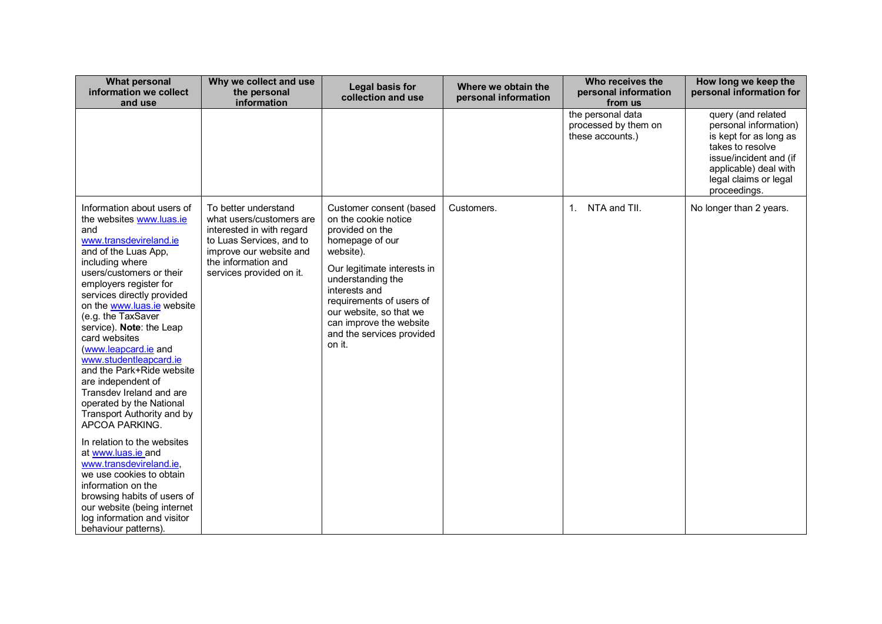| <b>What personal</b><br>information we collect<br>and use                                                                                                                                                                                                                                                                                                                                                                                                                                                                            | Why we collect and use<br>the personal<br>information                                                                                                                                   | Legal basis for<br>collection and use                                                                                                                                                                                                                                                            | Where we obtain the<br>personal information | Who receives the<br>personal information<br>from us           | How long we keep the<br>personal information for                                                                                                                                      |
|--------------------------------------------------------------------------------------------------------------------------------------------------------------------------------------------------------------------------------------------------------------------------------------------------------------------------------------------------------------------------------------------------------------------------------------------------------------------------------------------------------------------------------------|-----------------------------------------------------------------------------------------------------------------------------------------------------------------------------------------|--------------------------------------------------------------------------------------------------------------------------------------------------------------------------------------------------------------------------------------------------------------------------------------------------|---------------------------------------------|---------------------------------------------------------------|---------------------------------------------------------------------------------------------------------------------------------------------------------------------------------------|
|                                                                                                                                                                                                                                                                                                                                                                                                                                                                                                                                      |                                                                                                                                                                                         |                                                                                                                                                                                                                                                                                                  |                                             | the personal data<br>processed by them on<br>these accounts.) | query (and related<br>personal information)<br>is kept for as long as<br>takes to resolve<br>issue/incident and (if<br>applicable) deal with<br>legal claims or legal<br>proceedings. |
| Information about users of<br>the websites www.luas.ie<br>and<br>www.transdevireland.ie<br>and of the Luas App,<br>including where<br>users/customers or their<br>employers register for<br>services directly provided<br>on the www.luas.ie website<br>(e.g. the TaxSaver<br>service). Note: the Leap<br>card websites<br>(www.leapcard.ie and<br>www.studentleapcard.ie<br>and the Park+Ride website<br>are independent of<br>Transdev Ireland and are<br>operated by the National<br>Transport Authority and by<br>APCOA PARKING. | To better understand<br>what users/customers are<br>interested in with regard<br>to Luas Services, and to<br>improve our website and<br>the information and<br>services provided on it. | Customer consent (based<br>on the cookie notice<br>provided on the<br>homepage of our<br>website).<br>Our legitimate interests in<br>understanding the<br>interests and<br>requirements of users of<br>our website, so that we<br>can improve the website<br>and the services provided<br>on it. | Customers.                                  | NTA and TII.<br>1 <sub>1</sub>                                | No longer than 2 years.                                                                                                                                                               |
| In relation to the websites<br>at www.luas.ie and<br>www.transdevireland.ie,<br>we use cookies to obtain<br>information on the<br>browsing habits of users of<br>our website (being internet<br>log information and visitor<br>behaviour patterns).                                                                                                                                                                                                                                                                                  |                                                                                                                                                                                         |                                                                                                                                                                                                                                                                                                  |                                             |                                                               |                                                                                                                                                                                       |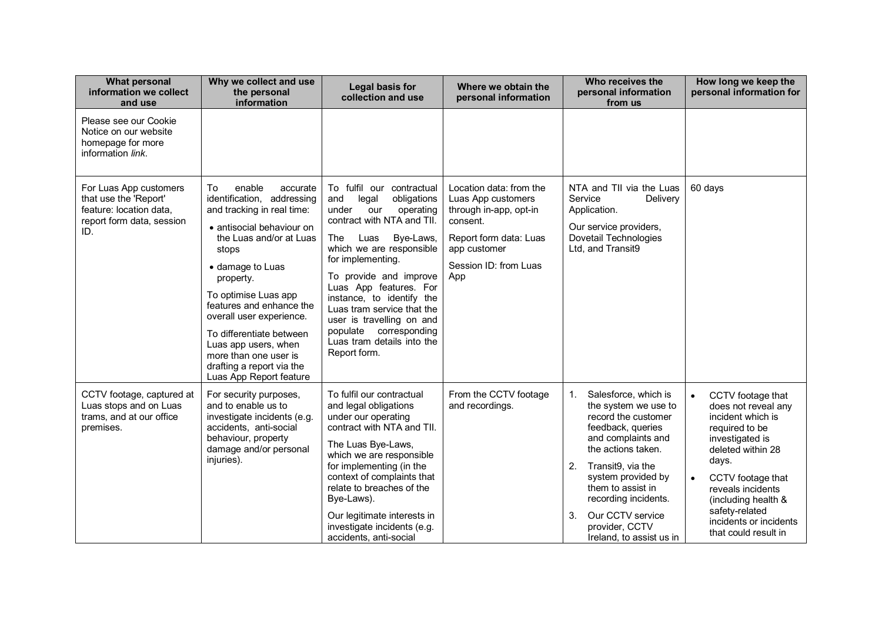| <b>What personal</b><br>information we collect<br>and use                                                      | Why we collect and use<br>the personal<br>information                                                                                                                                                                                                                                                                                                                                                       | Legal basis for<br>collection and use                                                                                                                                                                                                                                                                                                                                                                                   | Where we obtain the<br>personal information                                                                                                                   | Who receives the<br>personal information<br>from us                                                                                                                                                                                                                                                              | How long we keep the<br>personal information for                                                                                                                                                                                                                                                |
|----------------------------------------------------------------------------------------------------------------|-------------------------------------------------------------------------------------------------------------------------------------------------------------------------------------------------------------------------------------------------------------------------------------------------------------------------------------------------------------------------------------------------------------|-------------------------------------------------------------------------------------------------------------------------------------------------------------------------------------------------------------------------------------------------------------------------------------------------------------------------------------------------------------------------------------------------------------------------|---------------------------------------------------------------------------------------------------------------------------------------------------------------|------------------------------------------------------------------------------------------------------------------------------------------------------------------------------------------------------------------------------------------------------------------------------------------------------------------|-------------------------------------------------------------------------------------------------------------------------------------------------------------------------------------------------------------------------------------------------------------------------------------------------|
| Please see our Cookie<br>Notice on our website<br>homepage for more<br>information link.                       |                                                                                                                                                                                                                                                                                                                                                                                                             |                                                                                                                                                                                                                                                                                                                                                                                                                         |                                                                                                                                                               |                                                                                                                                                                                                                                                                                                                  |                                                                                                                                                                                                                                                                                                 |
| For Luas App customers<br>that use the 'Report'<br>feature: location data,<br>report form data, session<br>ID. | To<br>enable<br>accurate<br>identification, addressing<br>and tracking in real time:<br>• antisocial behaviour on<br>the Luas and/or at Luas<br>stops<br>• damage to Luas<br>property.<br>To optimise Luas app<br>features and enhance the<br>overall user experience.<br>To differentiate between<br>Luas app users, when<br>more than one user is<br>drafting a report via the<br>Luas App Report feature | To fulfil our<br>contractual<br>obligations<br>and<br>legal<br>under<br>operating<br>our<br>contract with NTA and TII.<br>Bye-Laws,<br>The<br>Luas<br>which we are responsible<br>for implementing.<br>To provide and improve<br>Luas App features. For<br>instance, to identify the<br>Luas tram service that the<br>user is travelling on and<br>populate corresponding<br>Luas tram details into the<br>Report form. | Location data: from the<br>Luas App customers<br>through in-app, opt-in<br>consent.<br>Report form data: Luas<br>app customer<br>Session ID: from Luas<br>App | NTA and TII via the Luas<br>Service<br>Delivery<br>Application.<br>Our service providers,<br>Dovetail Technologies<br>Ltd, and Transit9                                                                                                                                                                          | 60 days                                                                                                                                                                                                                                                                                         |
| CCTV footage, captured at<br>Luas stops and on Luas<br>trams, and at our office<br>premises.                   | For security purposes,<br>and to enable us to<br>investigate incidents (e.g.<br>accidents, anti-social<br>behaviour, property<br>damage and/or personal<br>injuries).                                                                                                                                                                                                                                       | To fulfil our contractual<br>and legal obligations<br>under our operating<br>contract with NTA and TII.<br>The Luas Bye-Laws,<br>which we are responsible<br>for implementing (in the<br>context of complaints that<br>relate to breaches of the<br>Bye-Laws).<br>Our legitimate interests in<br>investigate incidents (e.g.<br>accidents, anti-social                                                                  | From the CCTV footage<br>and recordings.                                                                                                                      | Salesforce, which is<br>1.<br>the system we use to<br>record the customer<br>feedback, queries<br>and complaints and<br>the actions taken.<br>2.<br>Transit9, via the<br>system provided by<br>them to assist in<br>recording incidents.<br>Our CCTV service<br>3.<br>provider, CCTV<br>Ireland, to assist us in | CCTV footage that<br>$\bullet$<br>does not reveal any<br>incident which is<br>required to be<br>investigated is<br>deleted within 28<br>days.<br>CCTV footage that<br>$\bullet$<br>reveals incidents<br>(including health &<br>safety-related<br>incidents or incidents<br>that could result in |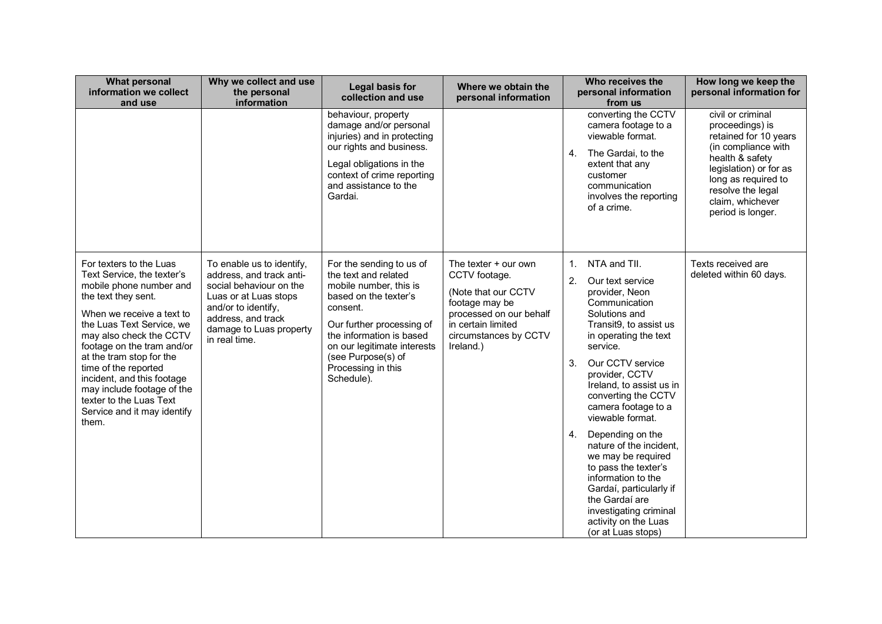| <b>What personal</b><br>information we collect<br>and use                                                                                                                                                                                                                                                                                                                                                     | Why we collect and use<br>the personal<br>information                                                                                                                                              | Legal basis for<br>collection and use                                                                                                                                                                                                                             | Where we obtain the<br>personal information                                                                                                                             | Who receives the<br>personal information<br>from us                                                                                                                                                                                                                                                                                                                                                                                                                                                                                                          | How long we keep the<br>personal information for                                                                                                                                                                       |
|---------------------------------------------------------------------------------------------------------------------------------------------------------------------------------------------------------------------------------------------------------------------------------------------------------------------------------------------------------------------------------------------------------------|----------------------------------------------------------------------------------------------------------------------------------------------------------------------------------------------------|-------------------------------------------------------------------------------------------------------------------------------------------------------------------------------------------------------------------------------------------------------------------|-------------------------------------------------------------------------------------------------------------------------------------------------------------------------|--------------------------------------------------------------------------------------------------------------------------------------------------------------------------------------------------------------------------------------------------------------------------------------------------------------------------------------------------------------------------------------------------------------------------------------------------------------------------------------------------------------------------------------------------------------|------------------------------------------------------------------------------------------------------------------------------------------------------------------------------------------------------------------------|
|                                                                                                                                                                                                                                                                                                                                                                                                               |                                                                                                                                                                                                    | behaviour, property<br>damage and/or personal<br>injuries) and in protecting<br>our rights and business.<br>Legal obligations in the<br>context of crime reporting<br>and assistance to the<br>Gardai.                                                            |                                                                                                                                                                         | converting the CCTV<br>camera footage to a<br>viewable format.<br>The Gardai, to the<br>4.<br>extent that any<br>customer<br>communication<br>involves the reporting<br>of a crime.                                                                                                                                                                                                                                                                                                                                                                          | civil or criminal<br>proceedings) is<br>retained for 10 years<br>(in compliance with<br>health & safety<br>legislation) or for as<br>long as required to<br>resolve the legal<br>claim, whichever<br>period is longer. |
| For texters to the Luas<br>Text Service, the texter's<br>mobile phone number and<br>the text they sent.<br>When we receive a text to<br>the Luas Text Service, we<br>may also check the CCTV<br>footage on the tram and/or<br>at the tram stop for the<br>time of the reported<br>incident, and this footage<br>may include footage of the<br>texter to the Luas Text<br>Service and it may identify<br>them. | To enable us to identify,<br>address, and track anti-<br>social behaviour on the<br>Luas or at Luas stops<br>and/or to identify,<br>address, and track<br>damage to Luas property<br>in real time. | For the sending to us of<br>the text and related<br>mobile number, this is<br>based on the texter's<br>consent.<br>Our further processing of<br>the information is based<br>on our legitimate interests<br>(see Purpose(s) of<br>Processing in this<br>Schedule). | The texter $+$ our own<br>CCTV footage.<br>(Note that our CCTV<br>footage may be<br>processed on our behalf<br>in certain limited<br>circumstances by CCTV<br>Ireland.) | NTA and TII.<br>$1_{-}$<br>2.<br>Our text service<br>provider, Neon<br>Communication<br>Solutions and<br>Transit9, to assist us<br>in operating the text<br>service.<br>Our CCTV service<br>3.<br>provider, CCTV<br>Ireland, to assist us in<br>converting the CCTV<br>camera footage to a<br>viewable format.<br>Depending on the<br>4.<br>nature of the incident,<br>we may be required<br>to pass the texter's<br>information to the<br>Gardaí, particularly if<br>the Gardaí are<br>investigating criminal<br>activity on the Luas<br>(or at Luas stops) | Texts received are<br>deleted within 60 days.                                                                                                                                                                          |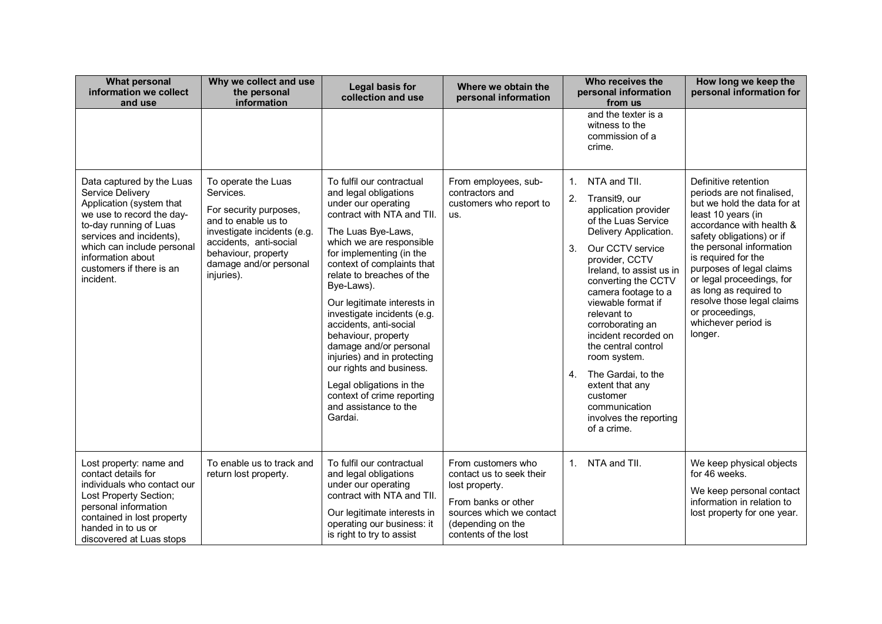| <b>What personal</b><br>information we collect<br>and use                                                                                                                                                                                                | Why we collect and use<br>the personal<br>information                                                                                                                                                     | Legal basis for<br>collection and use                                                                                                                                                                                                                                                                                                                                                                                                                                                                                                                            | Where we obtain the<br>personal information                                                                                                                      | Who receives the<br>personal information<br>from us                                                                                                                                                                                                                                                                                                                                                                                                                                  | How long we keep the<br>personal information for                                                                                                                                                                                                                                                                                                                                          |
|----------------------------------------------------------------------------------------------------------------------------------------------------------------------------------------------------------------------------------------------------------|-----------------------------------------------------------------------------------------------------------------------------------------------------------------------------------------------------------|------------------------------------------------------------------------------------------------------------------------------------------------------------------------------------------------------------------------------------------------------------------------------------------------------------------------------------------------------------------------------------------------------------------------------------------------------------------------------------------------------------------------------------------------------------------|------------------------------------------------------------------------------------------------------------------------------------------------------------------|--------------------------------------------------------------------------------------------------------------------------------------------------------------------------------------------------------------------------------------------------------------------------------------------------------------------------------------------------------------------------------------------------------------------------------------------------------------------------------------|-------------------------------------------------------------------------------------------------------------------------------------------------------------------------------------------------------------------------------------------------------------------------------------------------------------------------------------------------------------------------------------------|
|                                                                                                                                                                                                                                                          |                                                                                                                                                                                                           |                                                                                                                                                                                                                                                                                                                                                                                                                                                                                                                                                                  |                                                                                                                                                                  | and the texter is a<br>witness to the<br>commission of a<br>crime.                                                                                                                                                                                                                                                                                                                                                                                                                   |                                                                                                                                                                                                                                                                                                                                                                                           |
| Data captured by the Luas<br>Service Delivery<br>Application (system that<br>we use to record the day-<br>to-day running of Luas<br>services and incidents),<br>which can include personal<br>information about<br>customers if there is an<br>incident. | To operate the Luas<br>Services.<br>For security purposes,<br>and to enable us to<br>investigate incidents (e.g.<br>accidents, anti-social<br>behaviour, property<br>damage and/or personal<br>injuries). | To fulfil our contractual<br>and legal obligations<br>under our operating<br>contract with NTA and TII.<br>The Luas Bye-Laws,<br>which we are responsible<br>for implementing (in the<br>context of complaints that<br>relate to breaches of the<br>Bye-Laws).<br>Our legitimate interests in<br>investigate incidents (e.g.<br>accidents, anti-social<br>behaviour, property<br>damage and/or personal<br>injuries) and in protecting<br>our rights and business.<br>Legal obligations in the<br>context of crime reporting<br>and assistance to the<br>Gardai. | From employees, sub-<br>contractors and<br>customers who report to<br>us.                                                                                        | NTA and TII.<br>1.<br>2.<br>Transit9, our<br>application provider<br>of the Luas Service<br>Delivery Application.<br>Our CCTV service<br>3.<br>provider, CCTV<br>Ireland, to assist us in<br>converting the CCTV<br>camera footage to a<br>viewable format if<br>relevant to<br>corroborating an<br>incident recorded on<br>the central control<br>room system.<br>The Gardai, to the<br>4.<br>extent that any<br>customer<br>communication<br>involves the reporting<br>of a crime. | Definitive retention<br>periods are not finalised,<br>but we hold the data for at<br>least 10 years (in<br>accordance with health &<br>safety obligations) or if<br>the personal information<br>is required for the<br>purposes of legal claims<br>or legal proceedings, for<br>as long as required to<br>resolve those legal claims<br>or proceedings,<br>whichever period is<br>longer. |
| Lost property: name and<br>contact details for<br>individuals who contact our<br>Lost Property Section;<br>personal information<br>contained in lost property<br>handed in to us or<br>discovered at Luas stops                                          | To enable us to track and<br>return lost property.                                                                                                                                                        | To fulfil our contractual<br>and legal obligations<br>under our operating<br>contract with NTA and TII.<br>Our legitimate interests in<br>operating our business: it<br>is right to try to assist                                                                                                                                                                                                                                                                                                                                                                | From customers who<br>contact us to seek their<br>lost property.<br>From banks or other<br>sources which we contact<br>(depending on the<br>contents of the lost | 1 <sup>1</sup><br>NTA and TII.                                                                                                                                                                                                                                                                                                                                                                                                                                                       | We keep physical objects<br>for 46 weeks.<br>We keep personal contact<br>information in relation to<br>lost property for one year.                                                                                                                                                                                                                                                        |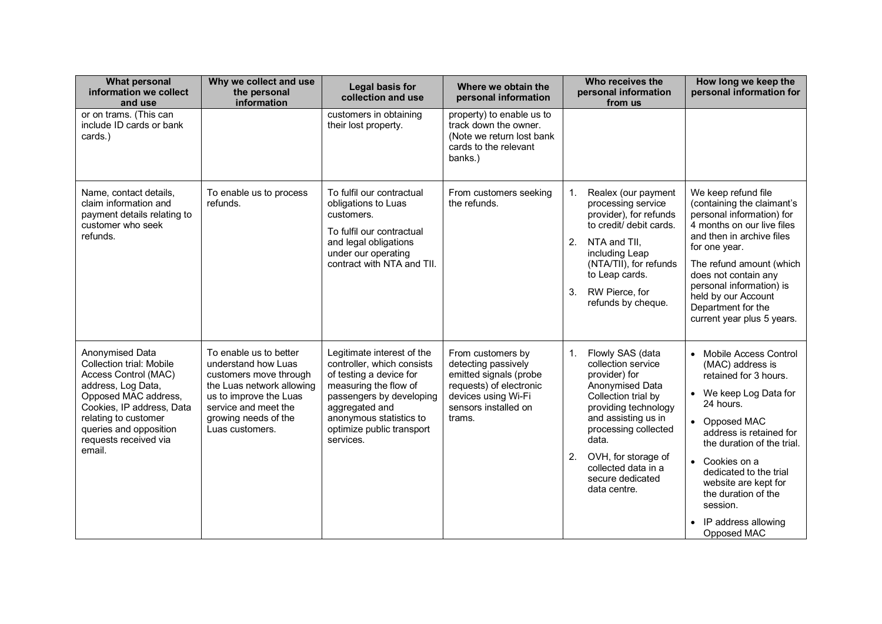| <b>What personal</b><br>information we collect<br>and use                                                                                                                                                                                  | Why we collect and use<br>the personal<br>information                                                                                                                                             | <b>Legal basis for</b><br>collection and use                                                                                                                                                                                    | Where we obtain the<br>personal information                                                                                                            | Who receives the<br>personal information<br>from us                                                                                                                                                                                                                             | How long we keep the<br>personal information for                                                                                                                                                                                                                                                                                                                    |
|--------------------------------------------------------------------------------------------------------------------------------------------------------------------------------------------------------------------------------------------|---------------------------------------------------------------------------------------------------------------------------------------------------------------------------------------------------|---------------------------------------------------------------------------------------------------------------------------------------------------------------------------------------------------------------------------------|--------------------------------------------------------------------------------------------------------------------------------------------------------|---------------------------------------------------------------------------------------------------------------------------------------------------------------------------------------------------------------------------------------------------------------------------------|---------------------------------------------------------------------------------------------------------------------------------------------------------------------------------------------------------------------------------------------------------------------------------------------------------------------------------------------------------------------|
| or on trams. (This can<br>include ID cards or bank<br>cards.)                                                                                                                                                                              |                                                                                                                                                                                                   | customers in obtaining<br>their lost property.                                                                                                                                                                                  | property) to enable us to<br>track down the owner.<br>(Note we return lost bank<br>cards to the relevant<br>banks.)                                    |                                                                                                                                                                                                                                                                                 |                                                                                                                                                                                                                                                                                                                                                                     |
| Name, contact details,<br>claim information and<br>payment details relating to<br>customer who seek<br>refunds.                                                                                                                            | To enable us to process<br>refunds.                                                                                                                                                               | To fulfil our contractual<br>obligations to Luas<br>customers.<br>To fulfil our contractual<br>and legal obligations<br>under our operating<br>contract with NTA and TII.                                                       | From customers seeking<br>the refunds.                                                                                                                 | 1.<br>Realex (our payment<br>processing service<br>provider), for refunds<br>to credit/ debit cards.<br>2.<br>NTA and TII,<br>including Leap<br>(NTA/TII), for refunds<br>to Leap cards.<br>RW Pierce, for<br>3 <sub>1</sub><br>refunds by cheque.                              | We keep refund file<br>(containing the claimant's<br>personal information) for<br>4 months on our live files<br>and then in archive files<br>for one year.<br>The refund amount (which<br>does not contain any<br>personal information) is<br>held by our Account<br>Department for the<br>current year plus 5 years.                                               |
| Anonymised Data<br><b>Collection trial: Mobile</b><br>Access Control (MAC)<br>address, Log Data,<br>Opposed MAC address,<br>Cookies, IP address, Data<br>relating to customer<br>queries and opposition<br>requests received via<br>email. | To enable us to better<br>understand how Luas<br>customers move through<br>the Luas network allowing<br>us to improve the Luas<br>service and meet the<br>growing needs of the<br>Luas customers. | Legitimate interest of the<br>controller, which consists<br>of testing a device for<br>measuring the flow of<br>passengers by developing<br>aggregated and<br>anonymous statistics to<br>optimize public transport<br>services. | From customers by<br>detecting passively<br>emitted signals (probe<br>requests) of electronic<br>devices using Wi-Fi<br>sensors installed on<br>trams. | 1.<br>Flowly SAS (data<br>collection service<br>provider) for<br>Anonymised Data<br>Collection trial by<br>providing technology<br>and assisting us in<br>processing collected<br>data.<br>2.<br>OVH, for storage of<br>collected data in a<br>secure dedicated<br>data centre. | Mobile Access Control<br>$\bullet$<br>(MAC) address is<br>retained for 3 hours.<br>• We keep Log Data for<br>24 hours.<br>Opposed MAC<br>$\bullet$<br>address is retained for<br>the duration of the trial.<br>Cookies on a<br>$\bullet$<br>dedicated to the trial<br>website are kept for<br>the duration of the<br>session.<br>IP address allowing<br>Opposed MAC |